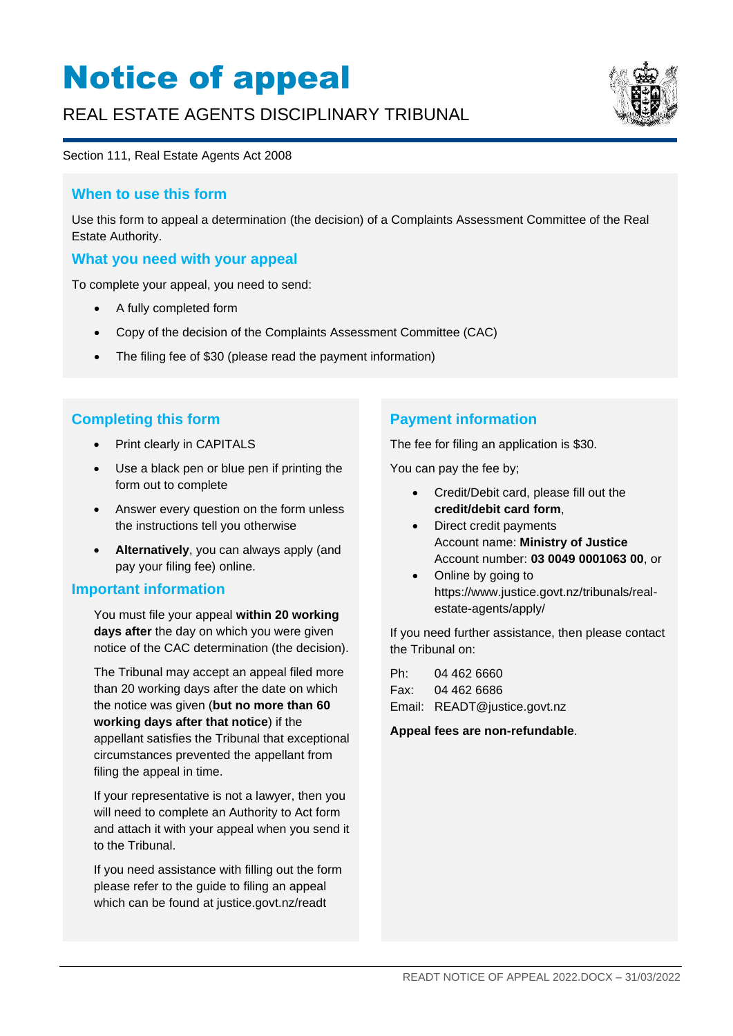# Notice of appeal

## REAL ESTATE AGENTS DISCIPLINARY TRIBUNAL



#### Section 111, Real Estate Agents Act 2008

#### **When to use this form**

Use this form to appeal a determination (the decision) of a Complaints Assessment Committee of the Real Estate Authority.

#### **What you need with your appeal**

To complete your appeal, you need to send:

- A fully completed form
- Copy of the decision of the Complaints Assessment Committee (CAC)
- The filing fee of \$30 (please read the payment information)

#### **Completing this form**

- Print clearly in CAPITALS
- Use a black pen or blue pen if printing the form out to complete
- Answer every question on the form unless the instructions tell you otherwise
- **Alternatively**, you can always apply (and pay your filing fee) online.

#### **Important information**

You must file your appeal **within 20 working days after** the day on which you were given notice of the CAC determination (the decision).

The Tribunal may accept an appeal filed more than 20 working days after the date on which the notice was given (**but no more than 60 working days after that notice**) if the appellant satisfies the Tribunal that exceptional circumstances prevented the appellant from filing the appeal in time.

If your representative is not a lawyer, then you will need to complete an Authority to Act form and attach it with your appeal when you send it to the Tribunal.

If you need assistance with filling out the form please refer to the guide to filing an appeal which can be found at [justice.govt.nz/readt](http://www.justice.govt.nz/readt)

#### **Payment information**

The fee for filing an application is \$30.

You can pay the fee by;

- Credit/Debit card, please fill out the **credit/debit card form**,
- Direct credit payments Account name: **Ministry of Justice** Account number: **03 0049 0001063 00**, or
- Online by going to https://www.justice.govt.nz/tribunals/realestate-agents/apply/

If you need further assistance, then please contact the Tribunal on:

| Ph: | 04 462 6660                  |
|-----|------------------------------|
|     | Fax: 04 462 6686             |
|     | Email: READT@justice.govt.nz |

**Appeal fees are non-refundable**.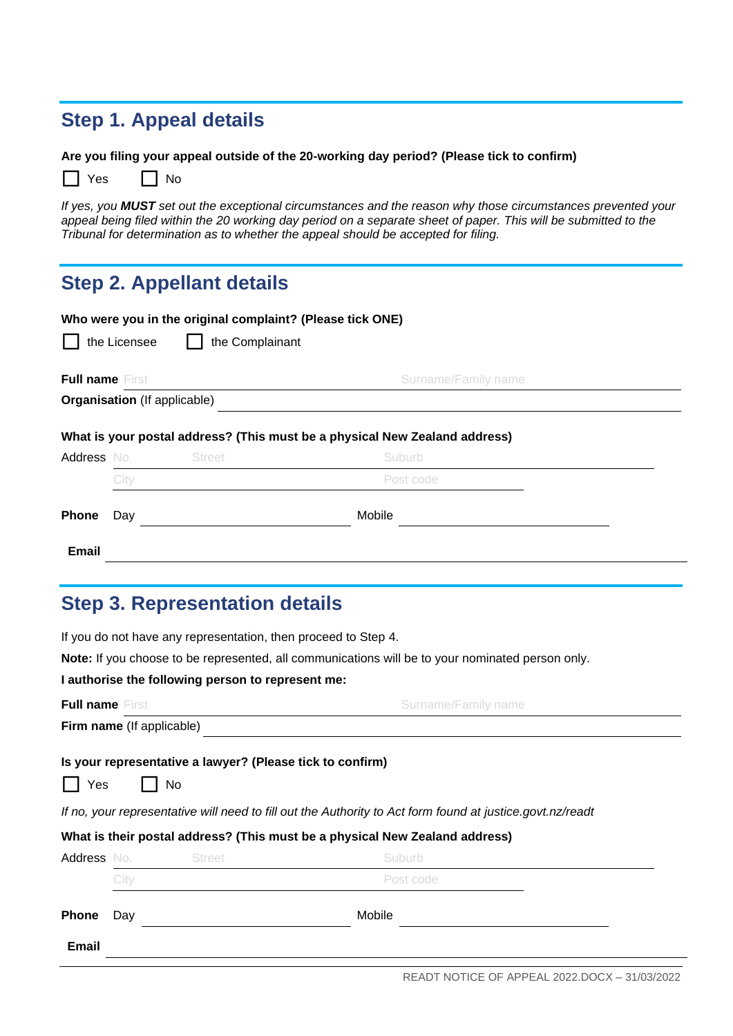#### **Step 1. Appeal details**

**Are you filing your appeal outside of the 20-working day period? (Please tick to confirm)**

 $\Box$  Yes  $\Box$  No

*If yes, you MUST set out the exceptional circumstances and the reason why those circumstances prevented your*  appeal being filed within the 20 working day period on a separate sheet of paper. This will be submitted to the *Tribunal for determination as to whether the appeal should be accepted for filing.*

### **Step 2. Appellant details**

|                                               |              | Who were you in the original complaint? (Please tick ONE) |                                                                                      |  |
|-----------------------------------------------|--------------|-----------------------------------------------------------|--------------------------------------------------------------------------------------|--|
|                                               | the Licensee | the Complainant                                           |                                                                                      |  |
| <b>Full name First</b><br>Surname/Family name |              |                                                           |                                                                                      |  |
|                                               |              | <b>Organisation</b> (If applicable)                       |                                                                                      |  |
| Address No.                                   |              | <b>Street</b>                                             | What is your postal address? (This must be a physical New Zealand address)<br>Suburb |  |
|                                               | City         |                                                           | Post code                                                                            |  |
| <b>Phone</b>                                  | Day          |                                                           | Mobile                                                                               |  |
| <b>Email</b>                                  |              |                                                           |                                                                                      |  |

#### **Step 3. Representation details**

If you do not have any representation, then proceed to Step 4.

**Note:** If you choose to be represented, all communications will be to your nominated person only.

#### **I authorise the following person to represent me:**

| <b>Full name First</b>    |                                                                  | Surname/Family name                                                                                       |
|---------------------------|------------------------------------------------------------------|-----------------------------------------------------------------------------------------------------------|
| Firm name (If applicable) |                                                                  |                                                                                                           |
| Yes                       | Is your representative a lawyer? (Please tick to confirm)<br>No. |                                                                                                           |
|                           |                                                                  | If no, your representative will need to fill out the Authority to Act form found at justice.govt.nz/readt |
|                           |                                                                  | What is their postal address? (This must be a physical New Zealand address)                               |
| Address No.               | <b>Street</b>                                                    | Suburb                                                                                                    |

| .         |      |  |           |
|-----------|------|--|-----------|
|           | City |  | Post code |
| Phone Day |      |  | Mobile    |
| Email     |      |  |           |
|           |      |  |           |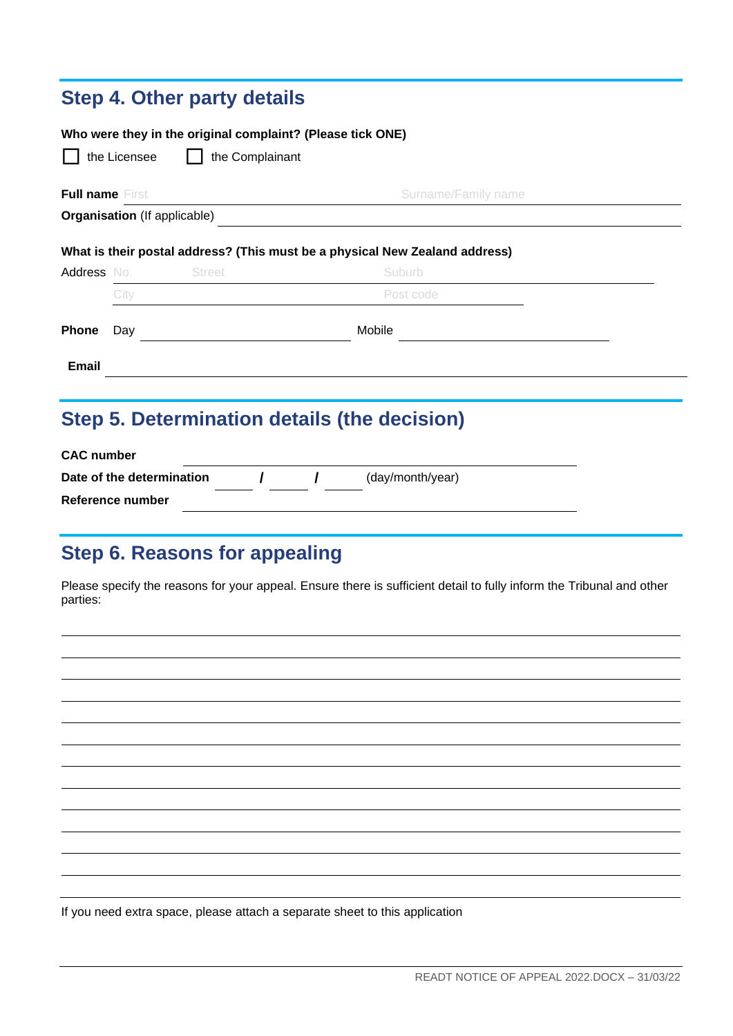## **Step 4. Other party details**

| Who were they in the original complaint? (Please tick ONE)<br>the Licensee<br>the Complainant |      |                                     |                                                                             |  |
|-----------------------------------------------------------------------------------------------|------|-------------------------------------|-----------------------------------------------------------------------------|--|
| <b>Full name First</b>                                                                        |      |                                     | <b>Surname/Family name</b>                                                  |  |
|                                                                                               |      | <b>Organisation</b> (If applicable) |                                                                             |  |
|                                                                                               |      |                                     | What is their postal address? (This must be a physical New Zealand address) |  |
|                                                                                               |      | Address No. Street                  | <b>Suburb</b>                                                               |  |
|                                                                                               | City |                                     | Post code                                                                   |  |
| <b>Phone</b>                                                                                  | Day  |                                     | Mobile                                                                      |  |
| <b>Email</b>                                                                                  |      |                                     |                                                                             |  |
|                                                                                               |      |                                     |                                                                             |  |

## **Step 5. Determination details (the decision)**

| <b>CAC</b> number         |  |                  |  |
|---------------------------|--|------------------|--|
| Date of the determination |  | (day/month/year) |  |
| Reference number          |  |                  |  |

### **Step 6. Reasons for appealing**

Please specify the reasons for your appeal. Ensure there is sufficient detail to fully inform the Tribunal and other parties:

If you need extra space, please attach a separate sheet to this application